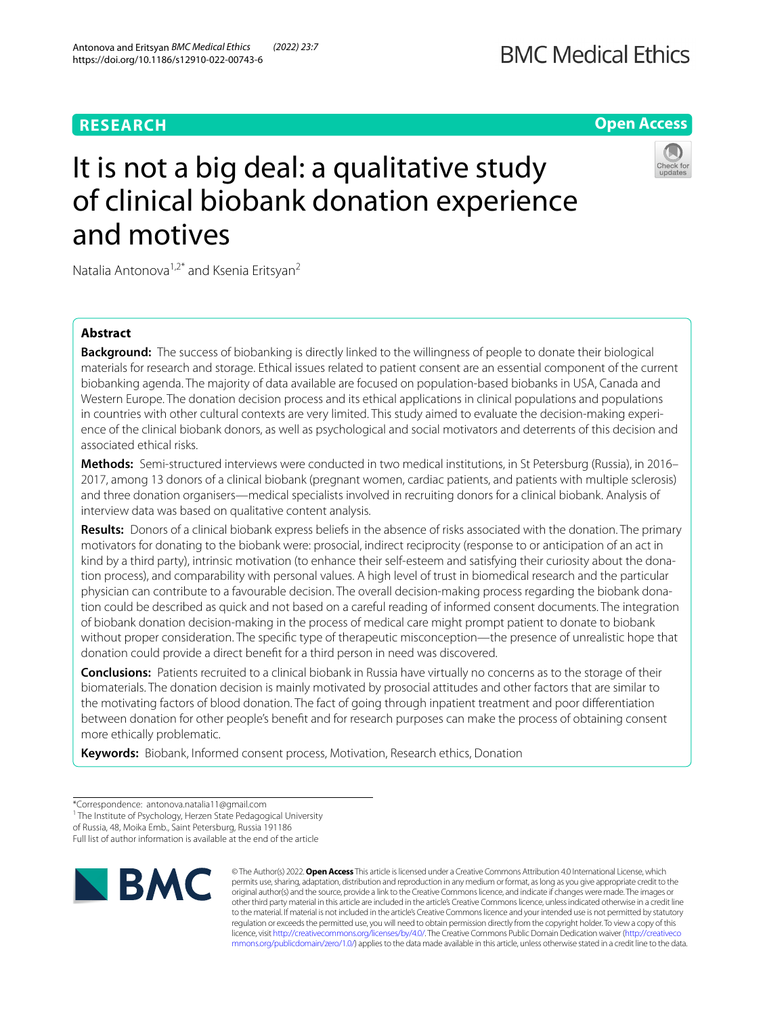# **RESEARCH**

**Open Access**

# It is not a big deal: a qualitative study of clinical biobank donation experience and motives



Natalia Antonova<sup>1,2\*</sup> and Ksenia Eritsyan<sup>2</sup>

# **Abstract**

**Background:** The success of biobanking is directly linked to the willingness of people to donate their biological materials for research and storage. Ethical issues related to patient consent are an essential component of the current biobanking agenda. The majority of data available are focused on population-based biobanks in USA, Canada and Western Europe. The donation decision process and its ethical applications in clinical populations and populations in countries with other cultural contexts are very limited. This study aimed to evaluate the decision-making experience of the clinical biobank donors, as well as psychological and social motivators and deterrents of this decision and associated ethical risks.

**Methods:** Semi-structured interviews were conducted in two medical institutions, in St Petersburg (Russia), in 2016– 2017, among 13 donors of a clinical biobank (pregnant women, cardiac patients, and patients with multiple sclerosis) and three donation organisers—medical specialists involved in recruiting donors for a clinical biobank. Analysis of interview data was based on qualitative content analysis.

**Results:** Donors of a clinical biobank express beliefs in the absence of risks associated with the donation. The primary motivators for donating to the biobank were: prosocial, indirect reciprocity (response to or anticipation of an act in kind by a third party), intrinsic motivation (to enhance their self-esteem and satisfying their curiosity about the donation process), and comparability with personal values. A high level of trust in biomedical research and the particular physician can contribute to a favourable decision. The overall decision-making process regarding the biobank donation could be described as quick and not based on a careful reading of informed consent documents. The integration of biobank donation decision-making in the process of medical care might prompt patient to donate to biobank without proper consideration. The specifc type of therapeutic misconception—the presence of unrealistic hope that donation could provide a direct beneft for a third person in need was discovered.

**Conclusions:** Patients recruited to a clinical biobank in Russia have virtually no concerns as to the storage of their biomaterials. The donation decision is mainly motivated by prosocial attitudes and other factors that are similar to the motivating factors of blood donation. The fact of going through inpatient treatment and poor diferentiation between donation for other people's beneft and for research purposes can make the process of obtaining consent more ethically problematic.

**Keywords:** Biobank, Informed consent process, Motivation, Research ethics, Donation

<sup>1</sup> The Institute of Psychology, Herzen State Pedagogical University

Full list of author information is available at the end of the article



© The Author(s) 2022. **Open Access** This article is licensed under a Creative Commons Attribution 4.0 International License, which permits use, sharing, adaptation, distribution and reproduction in any medium or format, as long as you give appropriate credit to the original author(s) and the source, provide a link to the Creative Commons licence, and indicate if changes were made. The images or other third party material in this article are included in the article's Creative Commons licence, unless indicated otherwise in a credit line to the material. If material is not included in the article's Creative Commons licence and your intended use is not permitted by statutory regulation or exceeds the permitted use, you will need to obtain permission directly from the copyright holder. To view a copy of this licence, visit [http://creativecommons.org/licenses/by/4.0/.](http://creativecommons.org/licenses/by/4.0/) The Creative Commons Public Domain Dedication waiver ([http://creativeco](http://creativecommons.org/publicdomain/zero/1.0/) [mmons.org/publicdomain/zero/1.0/](http://creativecommons.org/publicdomain/zero/1.0/)) applies to the data made available in this article, unless otherwise stated in a credit line to the data.

<sup>\*</sup>Correspondence: antonova.natalia11@gmail.com

of Russia, 48, Moika Emb., Saint Petersburg, Russia 191186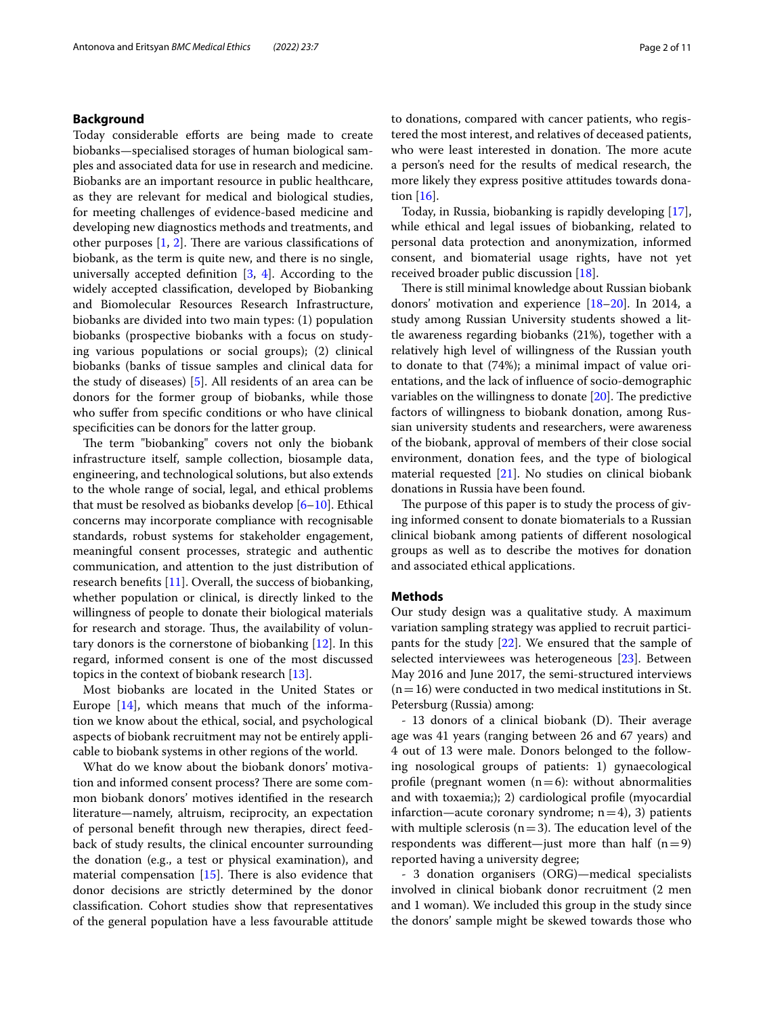# **Background**

Today considerable efforts are being made to create biobanks—specialised storages of human biological samples and associated data for use in research and medicine. Biobanks are an important resource in public healthcare, as they are relevant for medical and biological studies, for meeting challenges of evidence-based medicine and developing new diagnostics methods and treatments, and other purposes  $[1, 2]$  $[1, 2]$  $[1, 2]$  $[1, 2]$ . There are various classifications of biobank, as the term is quite new, and there is no single, universally accepted definition  $[3, 4]$  $[3, 4]$  $[3, 4]$ . According to the widely accepted classifcation, developed by Biobanking and Biomolecular Resources Research Infrastructure, biobanks are divided into two main types: (1) population biobanks (prospective biobanks with a focus on studying various populations or social groups); (2) clinical biobanks (banks of tissue samples and clinical data for the study of diseases) [\[5](#page-9-4)]. All residents of an area can be donors for the former group of biobanks, while those who sufer from specifc conditions or who have clinical specificities can be donors for the latter group.

The term "biobanking" covers not only the biobank infrastructure itself, sample collection, biosample data, engineering, and technological solutions, but also extends to the whole range of social, legal, and ethical problems that must be resolved as biobanks develop  $[6–10]$  $[6–10]$ . Ethical concerns may incorporate compliance with recognisable standards, robust systems for stakeholder engagement, meaningful consent processes, strategic and authentic communication, and attention to the just distribution of research benefts [\[11](#page-9-7)]. Overall, the success of biobanking, whether population or clinical, is directly linked to the willingness of people to donate their biological materials for research and storage. Thus, the availability of voluntary donors is the cornerstone of biobanking [\[12\]](#page-9-8). In this regard, informed consent is one of the most discussed topics in the context of biobank research [[13\]](#page-9-9).

Most biobanks are located in the United States or Europe [\[14\]](#page-9-10), which means that much of the information we know about the ethical, social, and psychological aspects of biobank recruitment may not be entirely applicable to biobank systems in other regions of the world.

What do we know about the biobank donors' motivation and informed consent process? There are some common biobank donors' motives identifed in the research literature—namely, altruism, reciprocity, an expectation of personal beneft through new therapies, direct feedback of study results, the clinical encounter surrounding the donation (e.g., a test or physical examination), and material compensation  $[15]$  $[15]$  $[15]$ . There is also evidence that donor decisions are strictly determined by the donor classifcation. Cohort studies show that representatives of the general population have a less favourable attitude to donations, compared with cancer patients, who registered the most interest, and relatives of deceased patients, who were least interested in donation. The more acute a person's need for the results of medical research, the more likely they express positive attitudes towards donation [[16\]](#page-9-12).

Today, in Russia, biobanking is rapidly developing [\[17](#page-9-13)], while ethical and legal issues of biobanking, related to personal data protection and anonymization, informed consent, and biomaterial usage rights, have not yet received broader public discussion [\[18](#page-10-0)].

There is still minimal knowledge about Russian biobank donors' motivation and experience [[18](#page-10-0)[–20](#page-10-1)]. In 2014, a study among Russian University students showed a little awareness regarding biobanks (21%), together with a relatively high level of willingness of the Russian youth to donate to that (74%); a minimal impact of value orientations, and the lack of infuence of socio-demographic variables on the willingness to donate  $[20]$  $[20]$  $[20]$ . The predictive factors of willingness to biobank donation, among Russian university students and researchers, were awareness of the biobank, approval of members of their close social environment, donation fees, and the type of biological material requested [[21\]](#page-10-2). No studies on clinical biobank donations in Russia have been found.

The purpose of this paper is to study the process of giving informed consent to donate biomaterials to a Russian clinical biobank among patients of diferent nosological groups as well as to describe the motives for donation and associated ethical applications.

## **Methods**

Our study design was a qualitative study. A maximum variation sampling strategy was applied to recruit participants for the study [[22\]](#page-10-3). We ensured that the sample of selected interviewees was heterogeneous [[23\]](#page-10-4). Between May 2016 and June 2017, the semi-structured interviews  $(n=16)$  were conducted in two medical institutions in St. Petersburg (Russia) among:

- 13 donors of a clinical biobank (D). Their average age was 41 years (ranging between 26 and 67 years) and 4 out of 13 were male. Donors belonged to the following nosological groups of patients: 1) gynaecological profile (pregnant women  $(n=6)$ : without abnormalities and with toxaemia;); 2) cardiological profle (myocardial infarction—acute coronary syndrome;  $n=4$ ), 3) patients with multiple sclerosis  $(n=3)$ . The education level of the respondents was different—just more than half  $(n=9)$ reported having a university degree;

- 3 donation organisers (ORG)—medical specialists involved in clinical biobank donor recruitment (2 men and 1 woman). We included this group in the study since the donors' sample might be skewed towards those who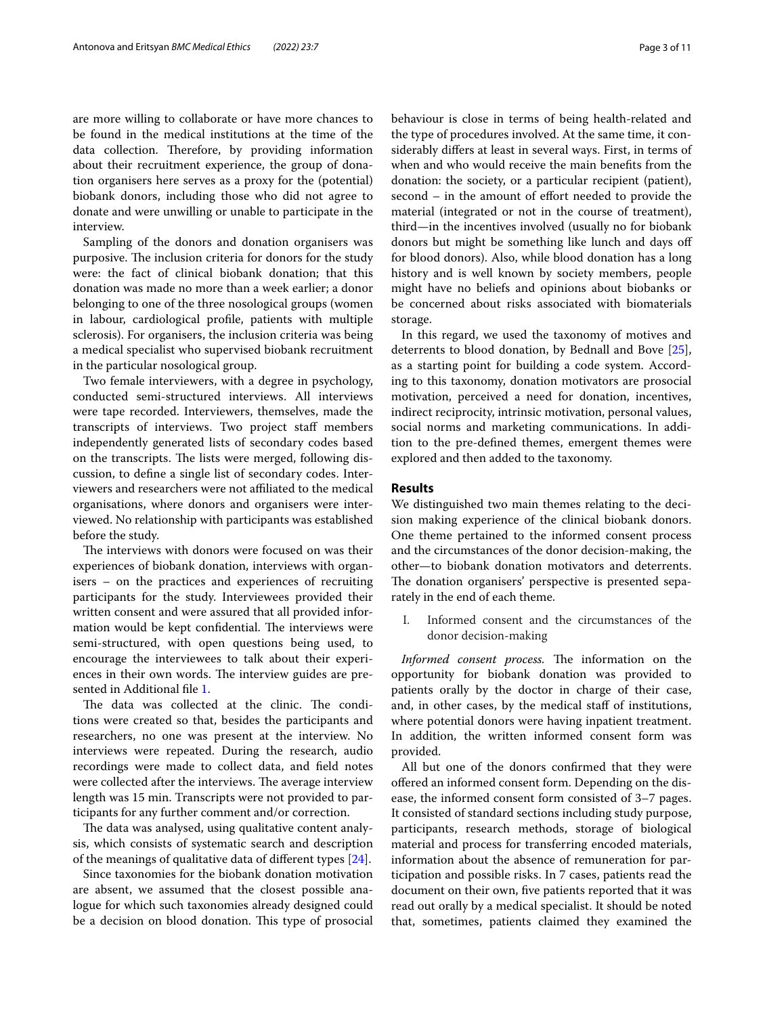are more willing to collaborate or have more chances to be found in the medical institutions at the time of the data collection. Therefore, by providing information about their recruitment experience, the group of donation organisers here serves as a proxy for the (potential) biobank donors, including those who did not agree to donate and were unwilling or unable to participate in the interview.

Sampling of the donors and donation organisers was purposive. The inclusion criteria for donors for the study were: the fact of clinical biobank donation; that this donation was made no more than a week earlier; a donor belonging to one of the three nosological groups (women in labour, cardiological profle, patients with multiple sclerosis). For organisers, the inclusion criteria was being a medical specialist who supervised biobank recruitment in the particular nosological group.

Two female interviewers, with a degree in psychology, conducted semi-structured interviews. All interviews were tape recorded. Interviewers, themselves, made the transcripts of interviews. Two project staf members independently generated lists of secondary codes based on the transcripts. The lists were merged, following discussion, to defne a single list of secondary codes. Interviewers and researchers were not afliated to the medical organisations, where donors and organisers were interviewed. No relationship with participants was established before the study.

The interviews with donors were focused on was their experiences of biobank donation, interviews with organisers – on the practices and experiences of recruiting participants for the study. Interviewees provided their written consent and were assured that all provided information would be kept confidential. The interviews were semi-structured, with open questions being used, to encourage the interviewees to talk about their experiences in their own words. The interview guides are presented in Additional fle [1.](#page-9-14)

The data was collected at the clinic. The conditions were created so that, besides the participants and researchers, no one was present at the interview. No interviews were repeated. During the research, audio recordings were made to collect data, and feld notes were collected after the interviews. The average interview length was 15 min. Transcripts were not provided to participants for any further comment and/or correction.

The data was analysed, using qualitative content analysis, which consists of systematic search and description of the meanings of qualitative data of diferent types [[24\]](#page-10-5).

Since taxonomies for the biobank donation motivation are absent, we assumed that the closest possible analogue for which such taxonomies already designed could be a decision on blood donation. This type of prosocial behaviour is close in terms of being health-related and the type of procedures involved. At the same time, it considerably difers at least in several ways. First, in terms of when and who would receive the main benefts from the donation: the society, or a particular recipient (patient), second – in the amount of effort needed to provide the material (integrated or not in the course of treatment), third—in the incentives involved (usually no for biobank donors but might be something like lunch and days of for blood donors). Also, while blood donation has a long history and is well known by society members, people might have no beliefs and opinions about biobanks or be concerned about risks associated with biomaterials storage.

In this regard, we used the taxonomy of motives and deterrents to blood donation, by Bednall and Bove [\[25](#page-10-6)], as a starting point for building a code system. According to this taxonomy, donation motivators are prosocial motivation, perceived a need for donation, incentives, indirect reciprocity, intrinsic motivation, personal values, social norms and marketing communications. In addition to the pre-defned themes, emergent themes were explored and then added to the taxonomy.

# **Results**

We distinguished two main themes relating to the decision making experience of the clinical biobank donors. One theme pertained to the informed consent process and the circumstances of the donor decision-making, the other—to biobank donation motivators and deterrents. The donation organisers' perspective is presented separately in the end of each theme.

I. Informed consent and the circumstances of the donor decision-making

*Informed consent process.* The information on the opportunity for biobank donation was provided to patients orally by the doctor in charge of their case, and, in other cases, by the medical staff of institutions, where potential donors were having inpatient treatment. In addition, the written informed consent form was provided.

All but one of the donors confrmed that they were ofered an informed consent form. Depending on the disease, the informed consent form consisted of 3–7 pages. It consisted of standard sections including study purpose, participants, research methods, storage of biological material and process for transferring encoded materials, information about the absence of remuneration for participation and possible risks. In 7 cases, patients read the document on their own, fve patients reported that it was read out orally by a medical specialist. It should be noted that, sometimes, patients claimed they examined the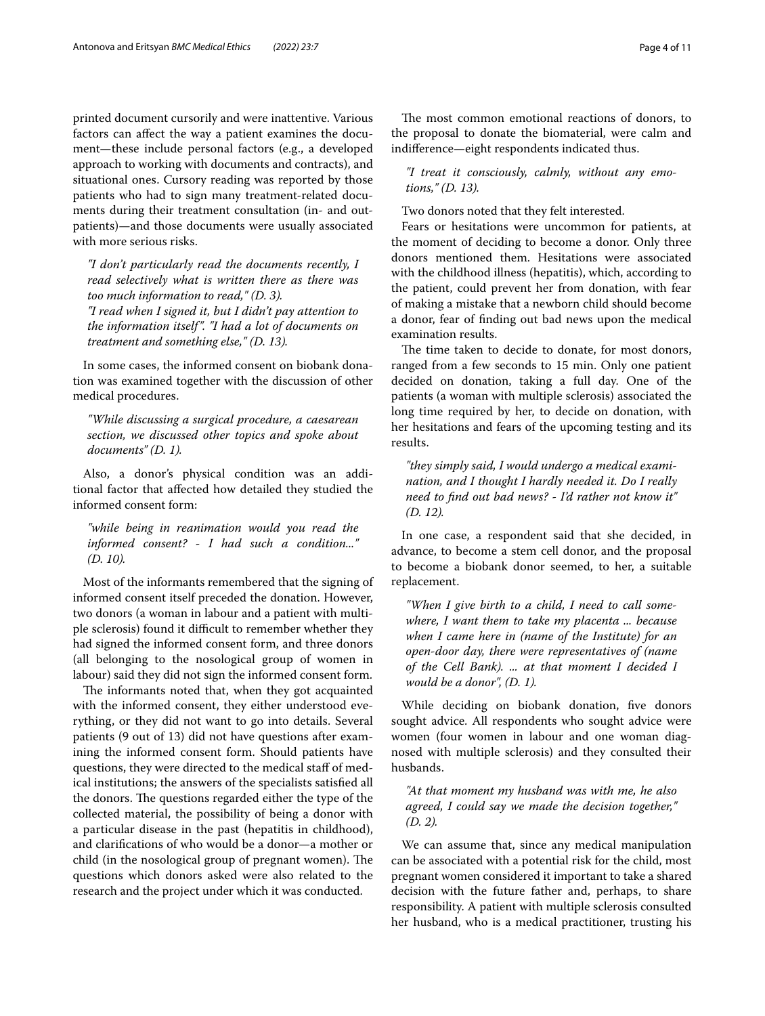printed document cursorily and were inattentive. Various factors can afect the way a patient examines the document—these include personal factors (e.g., a developed approach to working with documents and contracts), and situational ones. Cursory reading was reported by those patients who had to sign many treatment-related documents during their treatment consultation (in- and outpatients)—and those documents were usually associated with more serious risks.

*"I don't particularly read the documents recently, I read selectively what is written there as there was too much information to read," (D. 3). "I read when I signed it, but I didn't pay attention to* 

*the information itself". "I had a lot of documents on treatment and something else," (D. 13).*

In some cases, the informed consent on biobank donation was examined together with the discussion of other medical procedures.

*"While discussing a surgical procedure, a caesarean section, we discussed other topics and spoke about documents" (D. 1).*

Also, a donor's physical condition was an additional factor that afected how detailed they studied the informed consent form:

*"while being in reanimation would you read the informed consent? - I had such a condition..." (D. 10).*

Most of the informants remembered that the signing of informed consent itself preceded the donation. However, two donors (a woman in labour and a patient with multiple sclerosis) found it difficult to remember whether they had signed the informed consent form, and three donors (all belonging to the nosological group of women in labour) said they did not sign the informed consent form.

The informants noted that, when they got acquainted with the informed consent, they either understood everything, or they did not want to go into details. Several patients (9 out of 13) did not have questions after examining the informed consent form. Should patients have questions, they were directed to the medical staff of medical institutions; the answers of the specialists satisfed all the donors. The questions regarded either the type of the collected material, the possibility of being a donor with a particular disease in the past (hepatitis in childhood), and clarifcations of who would be a donor—a mother or child (in the nosological group of pregnant women). The questions which donors asked were also related to the research and the project under which it was conducted.

The most common emotional reactions of donors, to the proposal to donate the biomaterial, were calm and indiference—eight respondents indicated thus.

*"I treat it consciously, calmly, without any emotions," (D. 13).*

Two donors noted that they felt interested.

Fears or hesitations were uncommon for patients, at the moment of deciding to become a donor. Only three donors mentioned them. Hesitations were associated with the childhood illness (hepatitis), which, according to the patient, could prevent her from donation, with fear of making a mistake that a newborn child should become a donor, fear of fnding out bad news upon the medical examination results.

The time taken to decide to donate, for most donors, ranged from a few seconds to 15 min. Only one patient decided on donation, taking a full day. One of the patients (a woman with multiple sclerosis) associated the long time required by her, to decide on donation, with her hesitations and fears of the upcoming testing and its results.

*"they simply said, I would undergo a medical examination, and I thought I hardly needed it. Do I really need to fnd out bad news? - I'd rather not know it" (D. 12).*

In one case, a respondent said that she decided, in advance, to become a stem cell donor, and the proposal to become a biobank donor seemed, to her, a suitable replacement.

*"When I give birth to a child, I need to call somewhere, I want them to take my placenta ... because when I came here in (name of the Institute) for an open-door day, there were representatives of (name of the Cell Bank). ... at that moment I decided I would be a donor", (D. 1).*

While deciding on biobank donation, fve donors sought advice. All respondents who sought advice were women (four women in labour and one woman diagnosed with multiple sclerosis) and they consulted their husbands.

*"At that moment my husband was with me, he also agreed, I could say we made the decision together," (D. 2).*

We can assume that, since any medical manipulation can be associated with a potential risk for the child, most pregnant women considered it important to take a shared decision with the future father and, perhaps, to share responsibility. A patient with multiple sclerosis consulted her husband, who is a medical practitioner, trusting his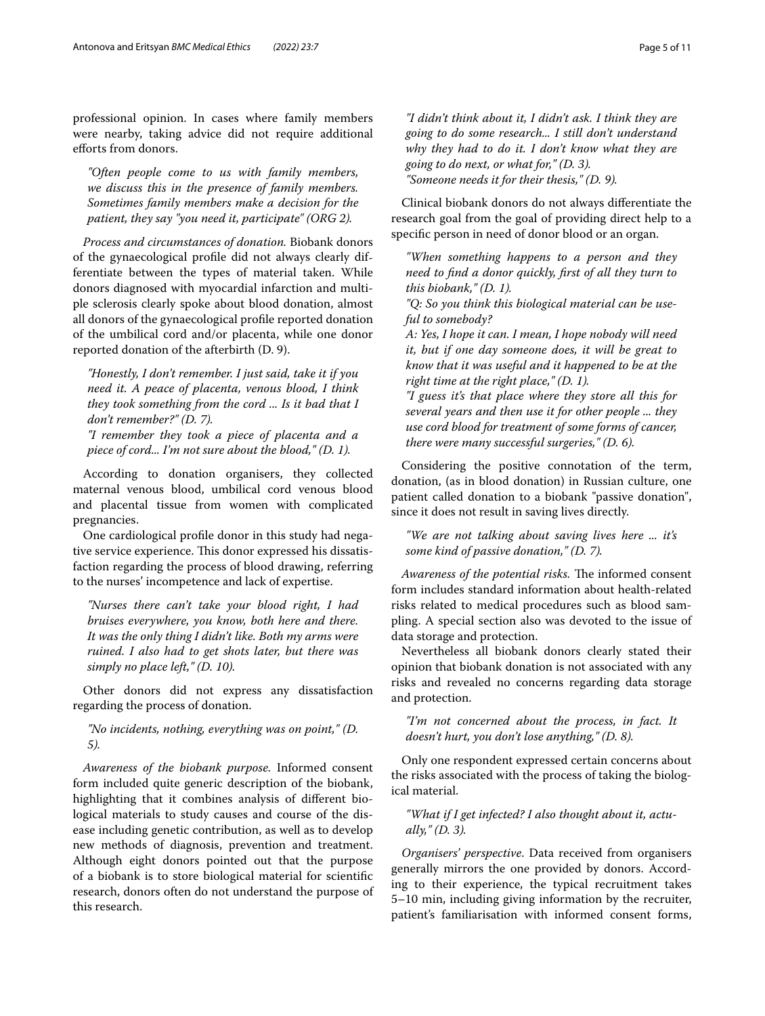professional opinion. In cases where family members were nearby, taking advice did not require additional eforts from donors.

*"Often people come to us with family members, we discuss this in the presence of family members. Sometimes family members make a decision for the patient, they say "you need it, participate" (ORG 2).*

*Process and circumstances of donation.* Biobank donors of the gynaecological profle did not always clearly differentiate between the types of material taken. While donors diagnosed with myocardial infarction and multiple sclerosis clearly spoke about blood donation, almost all donors of the gynaecological profle reported donation of the umbilical cord and/or placenta, while one donor reported donation of the afterbirth (D. 9).

*"Honestly, I don't remember. I just said, take it if you need it. A peace of placenta, venous blood, I think they took something from the cord ... Is it bad that I don't remember?" (D. 7).*

*"I remember they took a piece of placenta and a piece of cord... I'm not sure about the blood," (D. 1).*

According to donation organisers, they collected maternal venous blood, umbilical cord venous blood and placental tissue from women with complicated pregnancies.

One cardiological profle donor in this study had negative service experience. This donor expressed his dissatisfaction regarding the process of blood drawing, referring to the nurses' incompetence and lack of expertise.

*"Nurses there can't take your blood right, I had bruises everywhere, you know, both here and there. It was the only thing I didn't like. Both my arms were ruined. I also had to get shots later, but there was simply no place left," (D. 10).*

Other donors did not express any dissatisfaction regarding the process of donation.

*"No incidents, nothing, everything was on point," (D. 5).*

*Awareness of the biobank purpose.* Informed consent form included quite generic description of the biobank, highlighting that it combines analysis of diferent biological materials to study causes and course of the disease including genetic contribution, as well as to develop new methods of diagnosis, prevention and treatment. Although eight donors pointed out that the purpose of a biobank is to store biological material for scientifc research, donors often do not understand the purpose of this research.

*"I didn't think about it, I didn't ask. I think they are going to do some research... I still don't understand why they had to do it. I don't know what they are going to do next, or what for," (D. 3). "Someone needs it for their thesis," (D. 9).*

Clinical biobank donors do not always diferentiate the research goal from the goal of providing direct help to a specifc person in need of donor blood or an organ.

*"When something happens to a person and they need to fnd a donor quickly, frst of all they turn to this biobank," (D. 1).*

*"Q: So you think this biological material can be useful to somebody?*

*A: Yes, I hope it can. I mean, I hope nobody will need it, but if one day someone does, it will be great to know that it was useful and it happened to be at the right time at the right place," (D. 1).*

*"I guess it's that place where they store all this for several years and then use it for other people ... they use cord blood for treatment of some forms of cancer, there were many successful surgeries," (D. 6).*

Considering the positive connotation of the term, donation, (as in blood donation) in Russian culture, one patient called donation to a biobank "passive donation", since it does not result in saving lives directly.

*"We are not talking about saving lives here ... it's some kind of passive donation," (D. 7).*

*Awareness of the potential risks.* The informed consent form includes standard information about health-related risks related to medical procedures such as blood sampling. A special section also was devoted to the issue of data storage and protection.

Nevertheless all biobank donors clearly stated their opinion that biobank donation is not associated with any risks and revealed no concerns regarding data storage and protection.

*"I'm not concerned about the process, in fact. It doesn't hurt, you don't lose anything," (D. 8).*

Only one respondent expressed certain concerns about the risks associated with the process of taking the biological material.

# *"What if I get infected? I also thought about it, actually," (D. 3).*

*Organisers' perspective*. Data received from organisers generally mirrors the one provided by donors. According to their experience, the typical recruitment takes 5–10 min, including giving information by the recruiter, patient's familiarisation with informed consent forms,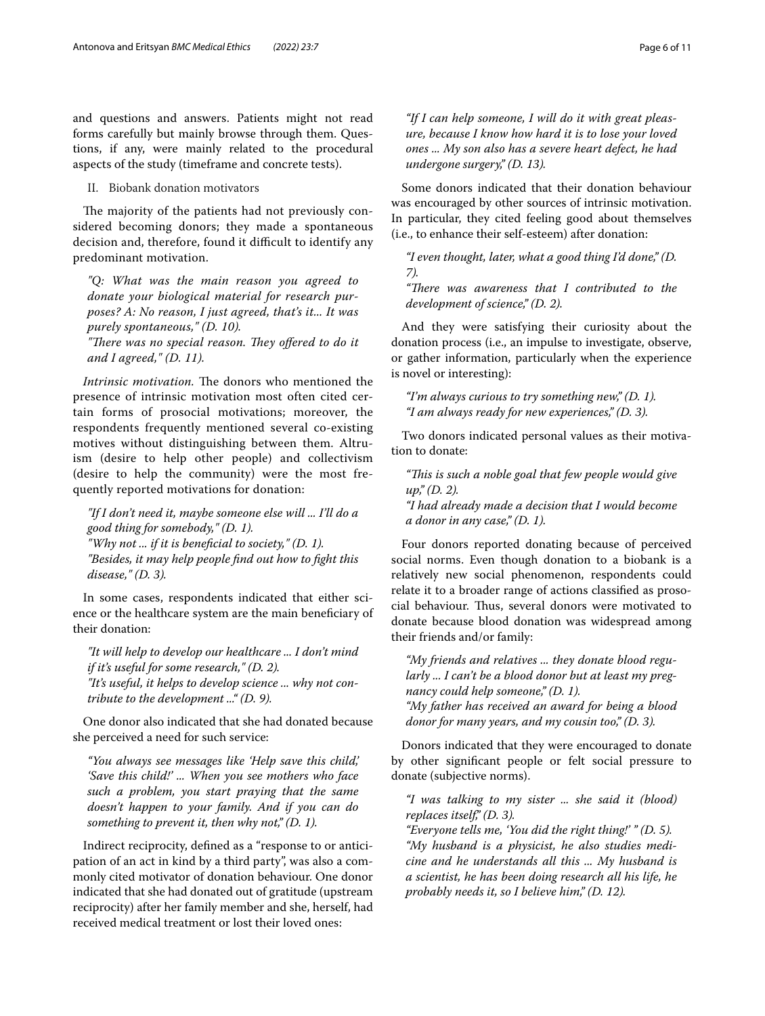and questions and answers. Patients might not read forms carefully but mainly browse through them. Questions, if any, were mainly related to the procedural aspects of the study (timeframe and concrete tests).

II. Biobank donation motivators

The majority of the patients had not previously considered becoming donors; they made a spontaneous decision and, therefore, found it difficult to identify any predominant motivation.

*"Q: What was the main reason you agreed to donate your biological material for research purposes? A: No reason, I just agreed, that's it... It was purely spontaneous," (D. 10).*

"There was no special reason. They offered to do it *and I agreed," (D. 11).*

*Intrinsic motivation.* The donors who mentioned the presence of intrinsic motivation most often cited certain forms of prosocial motivations; moreover, the respondents frequently mentioned several co-existing motives without distinguishing between them. Altruism (desire to help other people) and collectivism (desire to help the community) were the most frequently reported motivations for donation:

*"If I don't need it, maybe someone else will ... I'll do a good thing for somebody," (D. 1). "Why not ... if it is benefcial to society," (D. 1). "Besides, it may help people fnd out how to fght this* 

*disease," (D. 3).*

In some cases, respondents indicated that either science or the healthcare system are the main benefciary of their donation:

*"It will help to develop our healthcare ... I don't mind if it's useful for some research," (D. 2). "It's useful, it helps to develop science ... why not contribute to the development ..." (D. 9).*

One donor also indicated that she had donated because she perceived a need for such service:

*"You always see messages like 'Help save this child,' 'Save this child!' ... When you see mothers who face such a problem, you start praying that the same doesn't happen to your family. And if you can do something to prevent it, then why not," (D. 1).*

Indirect reciprocity, defned as a "response to or anticipation of an act in kind by a third party", was also a commonly cited motivator of donation behaviour. One donor indicated that she had donated out of gratitude (upstream reciprocity) after her family member and she, herself, had received medical treatment or lost their loved ones:

*"If I can help someone, I will do it with great pleasure, because I know how hard it is to lose your loved ones ... My son also has a severe heart defect, he had undergone surgery," (D. 13).*

Some donors indicated that their donation behaviour was encouraged by other sources of intrinsic motivation. In particular, they cited feeling good about themselves (i.e., to enhance their self-esteem) after donation:

*"I even thought, later, what a good thing I'd done," (D. 7).*

"There was awareness that I contributed to the *development of science," (D. 2).*

And they were satisfying their curiosity about the donation process (i.e., an impulse to investigate, observe, or gather information, particularly when the experience is novel or interesting):

*"I'm always curious to try something new," (D. 1). "I am always ready for new experiences," (D. 3).*

Two donors indicated personal values as their motivation to donate:

*"Tis is such a noble goal that few people would give up," (D. 2). "I had already made a decision that I would become a donor in any case," (D. 1).*

Four donors reported donating because of perceived social norms. Even though donation to a biobank is a relatively new social phenomenon, respondents could relate it to a broader range of actions classifed as prosocial behaviour. Thus, several donors were motivated to donate because blood donation was widespread among their friends and/or family:

*"My friends and relatives ... they donate blood regularly ... I can't be a blood donor but at least my pregnancy could help someone," (D. 1). "My father has received an award for being a blood donor for many years, and my cousin too," (D. 3).*

Donors indicated that they were encouraged to donate by other signifcant people or felt social pressure to donate (subjective norms).

*"I was talking to my sister ... she said it (blood) replaces itself," (D. 3).*

*"Everyone tells me, 'You did the right thing!' " (D. 5). "My husband is a physicist, he also studies medicine and he understands all this ... My husband is a scientist, he has been doing research all his life, he probably needs it, so I believe him," (D. 12).*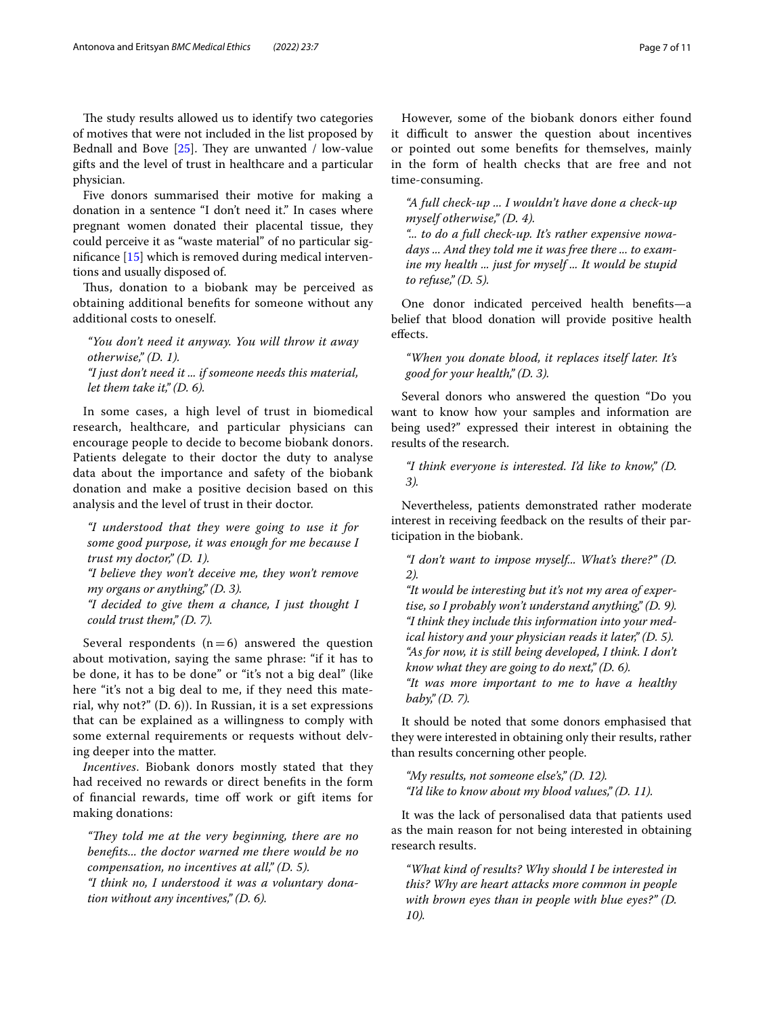The study results allowed us to identify two categories of motives that were not included in the list proposed by Bednall and Bove  $[25]$  $[25]$ . They are unwanted / low-value gifts and the level of trust in healthcare and a particular physician.

Five donors summarised their motive for making a donation in a sentence "I don't need it." In cases where pregnant women donated their placental tissue, they could perceive it as "waste material" of no particular signifcance [[15\]](#page-9-11) which is removed during medical interventions and usually disposed of.

Thus, donation to a biobank may be perceived as obtaining additional benefts for someone without any additional costs to oneself.

*"You don't need it anyway. You will throw it away otherwise," (D. 1). "I just don't need it ... if someone needs this material, let them take it," (D. 6).*

In some cases, a high level of trust in biomedical research, healthcare, and particular physicians can encourage people to decide to become biobank donors. Patients delegate to their doctor the duty to analyse data about the importance and safety of the biobank donation and make a positive decision based on this analysis and the level of trust in their doctor.

*"I understood that they were going to use it for some good purpose, it was enough for me because I trust my doctor," (D. 1).*

*"I believe they won't deceive me, they won't remove my organs or anything," (D. 3).*

*"I decided to give them a chance, I just thought I could trust them," (D. 7).*

Several respondents  $(n=6)$  answered the question about motivation, saying the same phrase: "if it has to be done, it has to be done" or "it's not a big deal" (like here "it's not a big deal to me, if they need this material, why not?" (D. 6)). In Russian, it is a set expressions that can be explained as a willingness to comply with some external requirements or requests without delving deeper into the matter.

*Incentives*. Biobank donors mostly stated that they had received no rewards or direct benefts in the form of financial rewards, time off work or gift items for making donations:

*"They told me at the very beginning, there are no benefts... the doctor warned me there would be no compensation, no incentives at all," (D. 5). "I think no, I understood it was a voluntary donation without any incentives," (D. 6).*

However, some of the biobank donors either found it difficult to answer the question about incentives or pointed out some benefts for themselves, mainly in the form of health checks that are free and not time-consuming.

*"A full check-up ... I wouldn't have done a check-up myself otherwise," (D. 4).*

*"... to do a full check-up. It's rather expensive nowadays ... And they told me it was free there ... to examine my health ... just for myself ... It would be stupid to refuse," (D. 5).*

One donor indicated perceived health benefts—a belief that blood donation will provide positive health efects.

*"When you donate blood, it replaces itself later. It's good for your health," (D. 3).*

Several donors who answered the question "Do you want to know how your samples and information are being used?" expressed their interest in obtaining the results of the research.

*"I think everyone is interested. I'd like to know," (D. 3).*

Nevertheless, patients demonstrated rather moderate interest in receiving feedback on the results of their participation in the biobank.

*"I don't want to impose myself... What's there?" (D. 2).*

*"It would be interesting but it's not my area of expertise, so I probably won't understand anything," (D. 9). "I think they include this information into your medical history and your physician reads it later," (D. 5). "As for now, it is still being developed, I think. I don't know what they are going to do next," (D. 6). "It was more important to me to have a healthy baby," (D. 7).*

It should be noted that some donors emphasised that they were interested in obtaining only their results, rather than results concerning other people.

*"My results, not someone else's," (D. 12). "I'd like to know about my blood values," (D. 11).*

It was the lack of personalised data that patients used as the main reason for not being interested in obtaining research results.

*"What kind of results? Why should I be interested in this? Why are heart attacks more common in people with brown eyes than in people with blue eyes?" (D. 10).*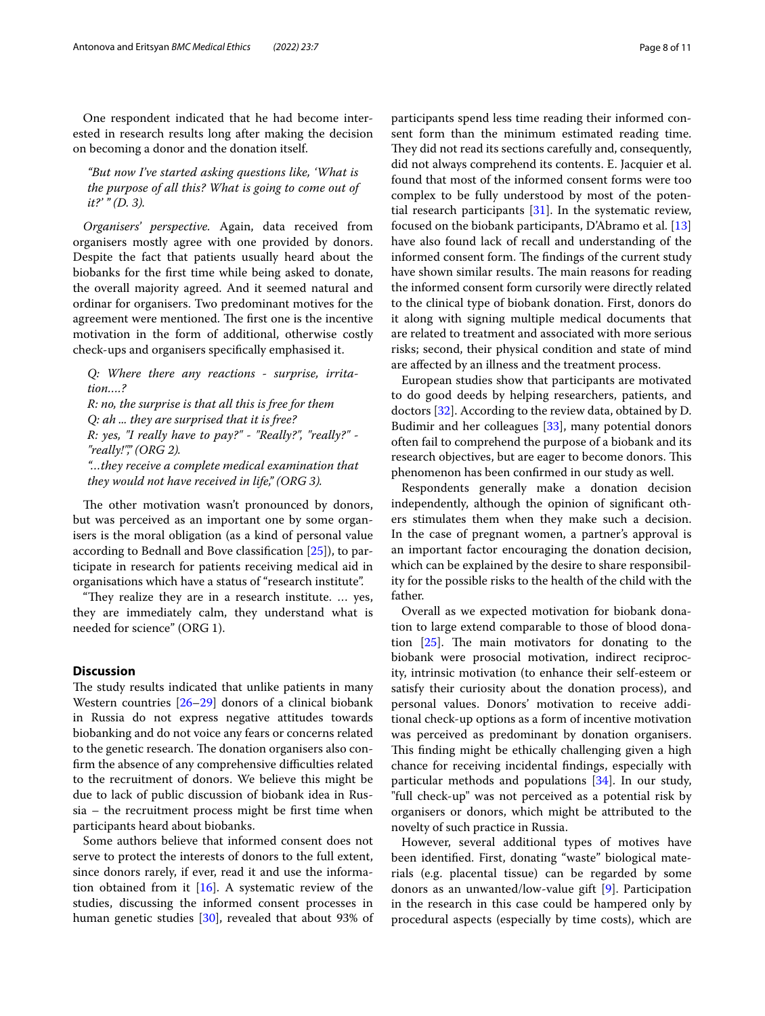One respondent indicated that he had become interested in research results long after making the decision on becoming a donor and the donation itself.

*"But now I've started asking questions like, 'What is the purpose of all this? What is going to come out of it?' " (D. 3).*

*Organisers' perspective.* Again, data received from organisers mostly agree with one provided by donors. Despite the fact that patients usually heard about the biobanks for the frst time while being asked to donate, the overall majority agreed. And it seemed natural and ordinar for organisers. Two predominant motives for the agreement were mentioned. The first one is the incentive motivation in the form of additional, otherwise costly check-ups and organisers specifcally emphasised it.

*Q: Where there any reactions - surprise, irritation….? R: no, the surprise is that all this is free for them Q: ah ... they are surprised that it is free? R: yes, "I really have to pay?" - "Really?", "really?" - "really!"," (ORG 2). "…they receive a complete medical examination that they would not have received in life," (ORG 3).*

The other motivation wasn't pronounced by donors, but was perceived as an important one by some organisers is the moral obligation (as a kind of personal value according to Bednall and Bove classifcation [\[25\]](#page-10-6)), to participate in research for patients receiving medical aid in organisations which have a status of "research institute".

"They realize they are in a research institute. ... yes, they are immediately calm, they understand what is needed for science" (ORG 1).

# **Discussion**

The study results indicated that unlike patients in many Western countries [\[26–](#page-10-7)[29\]](#page-10-8) donors of a clinical biobank in Russia do not express negative attitudes towards biobanking and do not voice any fears or concerns related to the genetic research. The donation organisers also confirm the absence of any comprehensive difficulties related to the recruitment of donors. We believe this might be due to lack of public discussion of biobank idea in Russia – the recruitment process might be frst time when participants heard about biobanks.

Some authors believe that informed consent does not serve to protect the interests of donors to the full extent, since donors rarely, if ever, read it and use the information obtained from it  $[16]$  $[16]$  $[16]$ . A systematic review of the studies, discussing the informed consent processes in human genetic studies [[30\]](#page-10-9), revealed that about 93% of participants spend less time reading their informed consent form than the minimum estimated reading time. They did not read its sections carefully and, consequently, did not always comprehend its contents. E. Jacquier et al. found that most of the informed consent forms were too complex to be fully understood by most of the potential research participants [\[31](#page-10-10)]. In the systematic review, focused on the biobank participants, D'Abramo et al. [[13](#page-9-9)] have also found lack of recall and understanding of the informed consent form. The findings of the current study have shown similar results. The main reasons for reading the informed consent form cursorily were directly related to the clinical type of biobank donation. First, donors do it along with signing multiple medical documents that are related to treatment and associated with more serious risks; second, their physical condition and state of mind are afected by an illness and the treatment process.

European studies show that participants are motivated to do good deeds by helping researchers, patients, and doctors [[32\]](#page-10-11). According to the review data, obtained by D. Budimir and her colleagues [[33\]](#page-10-12), many potential donors often fail to comprehend the purpose of a biobank and its research objectives, but are eager to become donors. This phenomenon has been confrmed in our study as well.

Respondents generally make a donation decision independently, although the opinion of signifcant others stimulates them when they make such a decision. In the case of pregnant women, a partner's approval is an important factor encouraging the donation decision, which can be explained by the desire to share responsibility for the possible risks to the health of the child with the father.

Overall as we expected motivation for biobank donation to large extend comparable to those of blood donation  $[25]$  $[25]$  $[25]$ . The main motivators for donating to the biobank were prosocial motivation, indirect reciprocity, intrinsic motivation (to enhance their self-esteem or satisfy their curiosity about the donation process), and personal values. Donors' motivation to receive additional check-up options as a form of incentive motivation was perceived as predominant by donation organisers. This finding might be ethically challenging given a high chance for receiving incidental fndings, especially with particular methods and populations [\[34\]](#page-10-13). In our study, "full check-up" was not perceived as a potential risk by organisers or donors, which might be attributed to the novelty of such practice in Russia.

However, several additional types of motives have been identifed. First, donating "waste" biological materials (e.g. placental tissue) can be regarded by some donors as an unwanted/low-value gift [\[9](#page-9-15)]. Participation in the research in this case could be hampered only by procedural aspects (especially by time costs), which are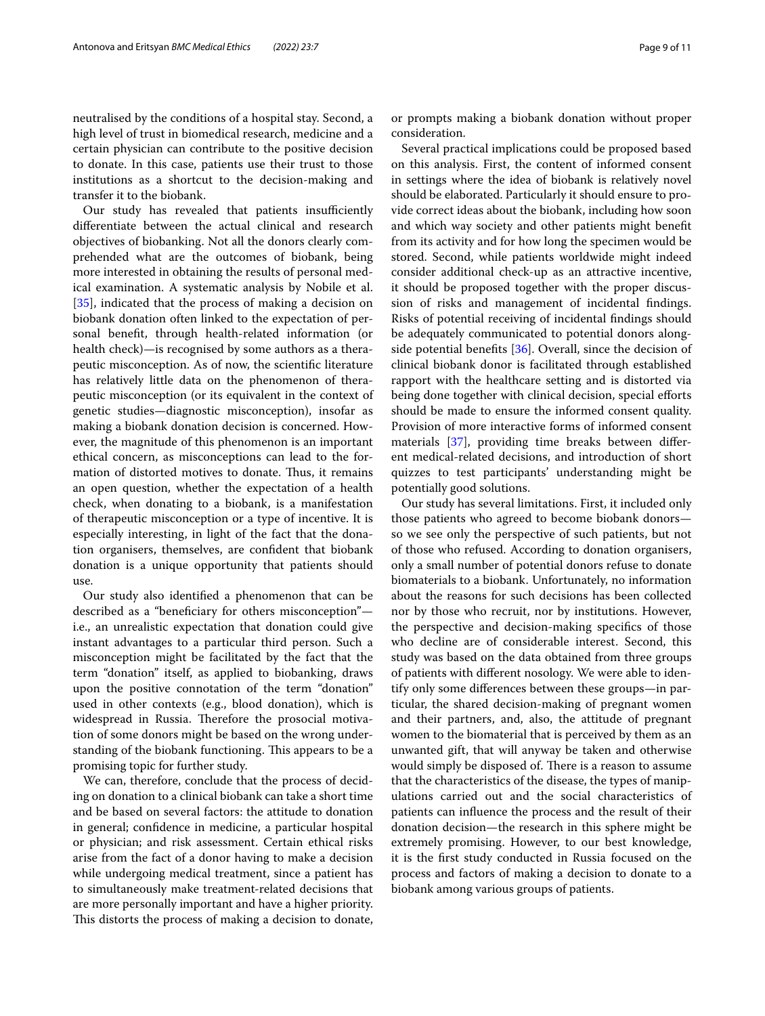neutralised by the conditions of a hospital stay. Second, a high level of trust in biomedical research, medicine and a certain physician can contribute to the positive decision to donate. In this case, patients use their trust to those institutions as a shortcut to the decision-making and transfer it to the biobank.

Our study has revealed that patients insufficiently diferentiate between the actual clinical and research objectives of biobanking. Not all the donors clearly comprehended what are the outcomes of biobank, being more interested in obtaining the results of personal medical examination. A systematic analysis by Nobile et al. [[35\]](#page-10-14), indicated that the process of making a decision on biobank donation often linked to the expectation of personal beneft, through health-related information (or health check)—is recognised by some authors as a therapeutic misconception. As of now, the scientifc literature has relatively little data on the phenomenon of therapeutic misconception (or its equivalent in the context of genetic studies—diagnostic misconception), insofar as making a biobank donation decision is concerned. However, the magnitude of this phenomenon is an important ethical concern, as misconceptions can lead to the formation of distorted motives to donate. Thus, it remains an open question, whether the expectation of a health check, when donating to a biobank, is a manifestation of therapeutic misconception or a type of incentive. It is especially interesting, in light of the fact that the donation organisers, themselves, are confdent that biobank donation is a unique opportunity that patients should use.

Our study also identifed a phenomenon that can be described as a "benefciary for others misconception" i.e., an unrealistic expectation that donation could give instant advantages to a particular third person. Such a misconception might be facilitated by the fact that the term "donation" itself, as applied to biobanking, draws upon the positive connotation of the term "donation" used in other contexts (e.g., blood donation), which is widespread in Russia. Therefore the prosocial motivation of some donors might be based on the wrong understanding of the biobank functioning. This appears to be a promising topic for further study.

We can, therefore, conclude that the process of deciding on donation to a clinical biobank can take a short time and be based on several factors: the attitude to donation in general; confdence in medicine, a particular hospital or physician; and risk assessment. Certain ethical risks arise from the fact of a donor having to make a decision while undergoing medical treatment, since a patient has to simultaneously make treatment-related decisions that are more personally important and have a higher priority. This distorts the process of making a decision to donate, or prompts making a biobank donation without proper consideration.

Several practical implications could be proposed based on this analysis. First, the content of informed consent in settings where the idea of biobank is relatively novel should be elaborated. Particularly it should ensure to provide correct ideas about the biobank, including how soon and which way society and other patients might beneft from its activity and for how long the specimen would be stored. Second, while patients worldwide might indeed consider additional check-up as an attractive incentive, it should be proposed together with the proper discussion of risks and management of incidental fndings. Risks of potential receiving of incidental fndings should be adequately communicated to potential donors alongside potential benefts [\[36\]](#page-10-15). Overall, since the decision of clinical biobank donor is facilitated through established rapport with the healthcare setting and is distorted via being done together with clinical decision, special efforts should be made to ensure the informed consent quality. Provision of more interactive forms of informed consent materials [\[37\]](#page-10-16), providing time breaks between diferent medical-related decisions, and introduction of short quizzes to test participants' understanding might be potentially good solutions.

Our study has several limitations. First, it included only those patients who agreed to become biobank donors so we see only the perspective of such patients, but not of those who refused. According to donation organisers, only a small number of potential donors refuse to donate biomaterials to a biobank. Unfortunately, no information about the reasons for such decisions has been collected nor by those who recruit, nor by institutions. However, the perspective and decision-making specifcs of those who decline are of considerable interest. Second, this study was based on the data obtained from three groups of patients with diferent nosology. We were able to identify only some diferences between these groups—in particular, the shared decision-making of pregnant women and their partners, and, also, the attitude of pregnant women to the biomaterial that is perceived by them as an unwanted gift, that will anyway be taken and otherwise would simply be disposed of. There is a reason to assume that the characteristics of the disease, the types of manipulations carried out and the social characteristics of patients can infuence the process and the result of their donation decision—the research in this sphere might be extremely promising. However, to our best knowledge, it is the frst study conducted in Russia focused on the process and factors of making a decision to donate to a biobank among various groups of patients.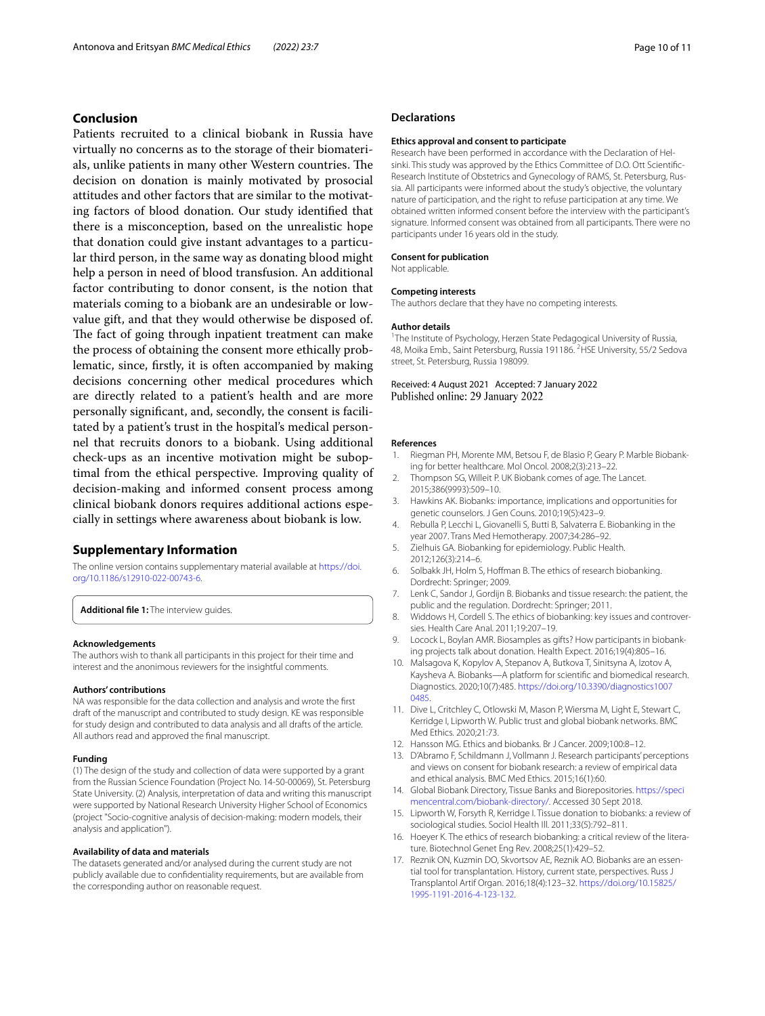# **Conclusion**

Patients recruited to a clinical biobank in Russia have virtually no concerns as to the storage of their biomaterials, unlike patients in many other Western countries. The decision on donation is mainly motivated by prosocial attitudes and other factors that are similar to the motivating factors of blood donation. Our study identifed that there is a misconception, based on the unrealistic hope that donation could give instant advantages to a particular third person, in the same way as donating blood might help a person in need of blood transfusion. An additional factor contributing to donor consent, is the notion that materials coming to a biobank are an undesirable or lowvalue gift, and that they would otherwise be disposed of. The fact of going through inpatient treatment can make the process of obtaining the consent more ethically problematic, since, frstly, it is often accompanied by making decisions concerning other medical procedures which are directly related to a patient's health and are more personally signifcant, and, secondly, the consent is facilitated by a patient's trust in the hospital's medical personnel that recruits donors to a biobank. Using additional check-ups as an incentive motivation might be suboptimal from the ethical perspective. Improving quality of decision-making and informed consent process among clinical biobank donors requires additional actions especially in settings where awareness about biobank is low.

## **Supplementary Information**

The online version contains supplementary material available at [https://doi.](https://doi.org/10.1186/s12910-022-00743-6) [org/10.1186/s12910-022-00743-6](https://doi.org/10.1186/s12910-022-00743-6).

<span id="page-9-14"></span>**Additional fle 1:** The interview guides.

#### **Acknowledgements**

The authors wish to thank all participants in this project for their time and interest and the anonimous reviewers for the insightful comments.

#### **Authors' contributions**

NA was responsible for the data collection and analysis and wrote the frst draft of the manuscript and contributed to study design. KE was responsible for study design and contributed to data analysis and all drafts of the article. All authors read and approved the fnal manuscript.

#### **Funding**

(1) The design of the study and collection of data were supported by a grant from the Russian Science Foundation (Project No. 14-50-00069), St. Petersburg State University. (2) Analysis, interpretation of data and writing this manuscript were supported by National Research University Higher School of Economics (project "Socio-cognitive analysis of decision-making: modern models, their analysis and application").

#### **Availability of data and materials**

The datasets generated and/or analysed during the current study are not publicly available due to confdentiality requirements, but are available from the corresponding author on reasonable request.

### **Declarations**

#### **Ethics approval and consent to participate**

Research have been performed in accordance with the Declaration of Helsinki. This study was approved by the Ethics Committee of D.O. Ott Scientifc-Research Institute of Obstetrics and Gynecology of RAMS, St. Petersburg, Russia. All participants were informed about the study's objective, the voluntary nature of participation, and the right to refuse participation at any time. We obtained written informed consent before the interview with the participant's signature. Informed consent was obtained from all participants. There were no participants under 16 years old in the study.

## **Consent for publication** Not applicable.

#### **Competing interests**

The authors declare that they have no competing interests.

#### **Author details**

<sup>1</sup>The Institute of Psychology, Herzen State Pedagogical University of Russia, 48, Moika Emb., Saint Petersburg, Russia 191186. <sup>2</sup>HSE University, 55/2 Sedova street, St. Petersburg, Russia 198099.

Received: 4 August 2021 Accepted: 7 January 2022 Published online: 29 January 2022

#### **References**

- <span id="page-9-0"></span>1. Riegman PH, Morente MM, Betsou F, de Blasio P, Geary P. Marble Biobanking for better healthcare. Mol Oncol. 2008;2(3):213–22.
- <span id="page-9-1"></span>2. Thompson SG, Willeit P. UK Biobank comes of age. The Lancet. 2015;386(9993):509–10.
- <span id="page-9-2"></span>3. Hawkins AK. Biobanks: importance, implications and opportunities for genetic counselors. J Gen Couns. 2010;19(5):423–9.
- <span id="page-9-3"></span>Rebulla P, Lecchi L, Giovanelli S, Butti B, Salvaterra E. Biobanking in the year 2007. Trans Med Hemotherapy. 2007;34:286–92.
- <span id="page-9-4"></span>5. Zielhuis GA. Biobanking for epidemiology. Public Health. 2012;126(3):214–6.
- <span id="page-9-5"></span>6. Solbakk JH, Holm S, Hofman B. The ethics of research biobanking. Dordrecht: Springer; 2009.
- 7. Lenk C, Sandor J, Gordijn B. Biobanks and tissue research: the patient, the public and the regulation. Dordrecht: Springer; 2011.
- 8. Widdows H, Cordell S. The ethics of biobanking: key issues and controversies. Health Care Anal. 2011;19:207–19.
- <span id="page-9-15"></span>9. Locock L, Boylan AMR. Biosamples as gifts? How participants in biobanking projects talk about donation. Health Expect. 2016;19(4):805–16.
- <span id="page-9-6"></span>10. Malsagova K, Kopylov A, Stepanov A, Butkova T, Sinitsyna A, Izotov A, Kaysheva A. Biobanks—A platform for scientifc and biomedical research. Diagnostics. 2020;10(7):485. [https://doi.org/10.3390/diagnostics1007](https://doi.org/10.3390/diagnostics10070485) [0485](https://doi.org/10.3390/diagnostics10070485).
- <span id="page-9-7"></span>11. Dive L, Critchley C, Otlowski M, Mason P, Wiersma M, Light E, Stewart C, Kerridge I, Lipworth W. Public trust and global biobank networks. BMC Med Ethics. 2020;21:73.
- <span id="page-9-8"></span>12. Hansson MG. Ethics and biobanks. Br J Cancer. 2009;100:8–12.
- <span id="page-9-9"></span>13. D'Abramo F, Schildmann J, Vollmann J. Research participants' perceptions and views on consent for biobank research: a review of empirical data and ethical analysis. BMC Med Ethics. 2015;16(1):60.
- <span id="page-9-10"></span>14. Global Biobank Directory, Tissue Banks and Biorepositories. [https://speci](https://specimencentral.com/biobank-directory/) [mencentral.com/biobank-directory/.](https://specimencentral.com/biobank-directory/) Accessed 30 Sept 2018.
- <span id="page-9-11"></span>15. Lipworth W, Forsyth R, Kerridge I. Tissue donation to biobanks: a review of sociological studies. Sociol Health Ill. 2011;33(5):792–811.
- <span id="page-9-12"></span>16. Hoeyer K. The ethics of research biobanking: a critical review of the literature. Biotechnol Genet Eng Rev. 2008;25(1):429–52.
- <span id="page-9-13"></span>17. Reznik ON, Kuzmin DO, Skvortsov AE, Reznik AO. Biobanks are an essential tool for transplantation. History, current state, perspectives. Russ J Transplantol Artif Organ. 2016;18(4):123–32. [https://doi.org/10.15825/](https://doi.org/10.15825/1995-1191-2016-4-123-132) [1995-1191-2016-4-123-132](https://doi.org/10.15825/1995-1191-2016-4-123-132).